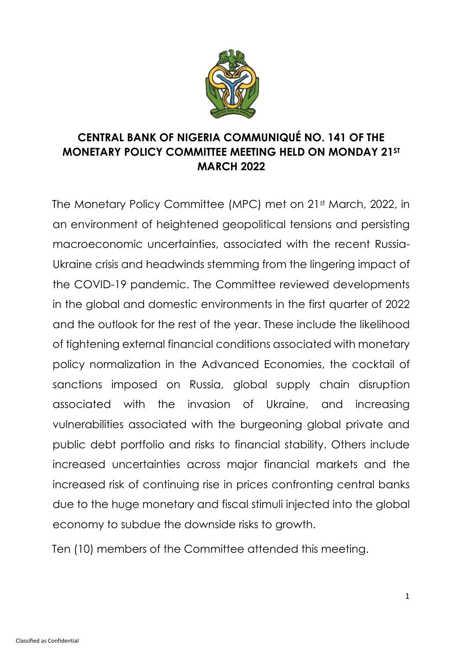

# **CENTRAL BANK OF NIGERIA COMMUNIQUÉ NO. 141 OF THE MONETARY POLICY COMMITTEE MEETING HELD ON MONDAY 21ST MARCH 2022**

The Monetary Policy Committee (MPC) met on 21st March, 2022, in an environment of heightened geopolitical tensions and persisting macroeconomic uncertainties, associated with the recent Russia-Ukraine crisis and headwinds stemming from the lingering impact of the COVID-19 pandemic. The Committee reviewed developments in the global and domestic environments in the first quarter of 2022 and the outlook for the rest of the year. These include the likelihood of tightening external financial conditions associated with monetary policy normalization in the Advanced Economies, the cocktail of sanctions imposed on Russia, global supply chain disruption associated with the invasion of Ukraine, and increasing vulnerabilities associated with the burgeoning global private and public debt portfolio and risks to financial stability. Others include increased uncertainties across major financial markets and the increased risk of continuing rise in prices confronting central banks due to the huge monetary and fiscal stimuli injected into the global economy to subdue the downside risks to growth.

Ten (10) members of the Committee attended this meeting.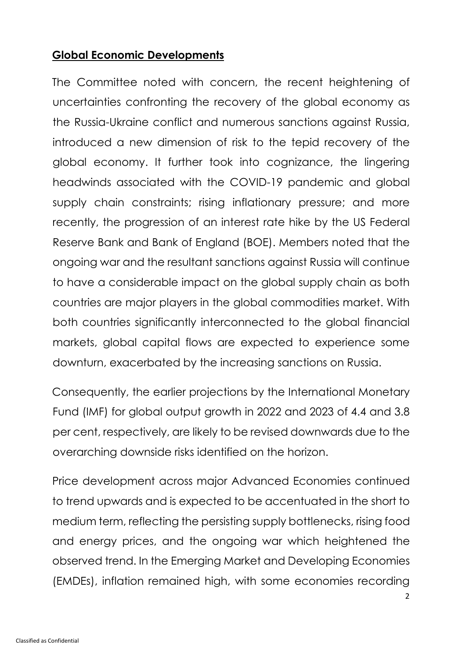### **Global Economic Developments**

The Committee noted with concern, the recent heightening of uncertainties confronting the recovery of the global economy as the Russia-Ukraine conflict and numerous sanctions against Russia, introduced a new dimension of risk to the tepid recovery of the global economy. It further took into cognizance, the lingering headwinds associated with the COVID-19 pandemic and global supply chain constraints; rising inflationary pressure; and more recently, the progression of an interest rate hike by the US Federal Reserve Bank and Bank of England (BOE). Members noted that the ongoing war and the resultant sanctions against Russia will continue to have a considerable impact on the global supply chain as both countries are major players in the global commodities market. With both countries significantly interconnected to the global financial markets, global capital flows are expected to experience some downturn, exacerbated by the increasing sanctions on Russia.

Consequently, the earlier projections by the International Monetary Fund (IMF) for global output growth in 2022 and 2023 of 4.4 and 3.8 per cent, respectively, are likely to be revised downwards due to the overarching downside risks identified on the horizon.

Price development across major Advanced Economies continued to trend upwards and is expected to be accentuated in the short to medium term, reflecting the persisting supply bottlenecks, rising food and energy prices, and the ongoing war which heightened the observed trend. In the Emerging Market and Developing Economies (EMDEs), inflation remained high, with some economies recording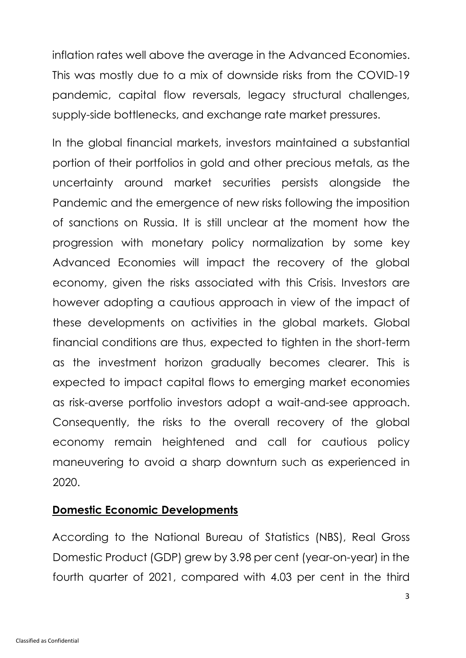inflation rates well above the average in the Advanced Economies. This was mostly due to a mix of downside risks from the COVID-19 pandemic, capital flow reversals, legacy structural challenges, supply-side bottlenecks, and exchange rate market pressures.

In the global financial markets, investors maintained a substantial portion of their portfolios in gold and other precious metals, as the uncertainty around market securities persists alongside the Pandemic and the emergence of new risks following the imposition of sanctions on Russia. It is still unclear at the moment how the progression with monetary policy normalization by some key Advanced Economies will impact the recovery of the global economy, given the risks associated with this Crisis. Investors are however adopting a cautious approach in view of the impact of these developments on activities in the global markets. Global financial conditions are thus, expected to tighten in the short-term as the investment horizon gradually becomes clearer. This is expected to impact capital flows to emerging market economies as risk-averse portfolio investors adopt a wait-and-see approach. Consequently, the risks to the overall recovery of the global economy remain heightened and call for cautious policy maneuvering to avoid a sharp downturn such as experienced in 2020.

#### **Domestic Economic Developments**

According to the National Bureau of Statistics (NBS), Real Gross Domestic Product (GDP) grew by 3.98 per cent (year-on-year) in the fourth quarter of 2021, compared with 4.03 per cent in the third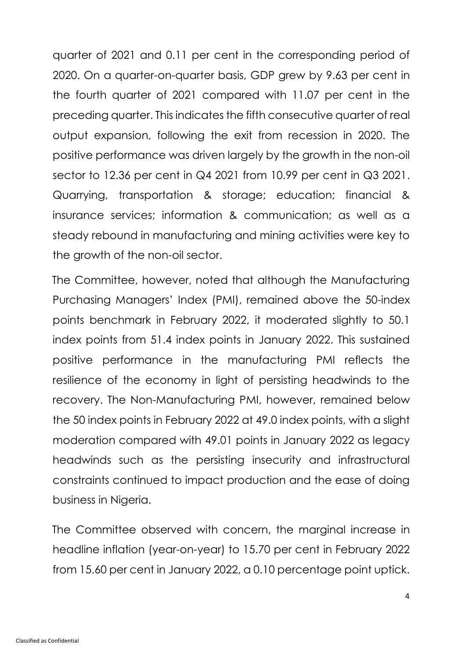quarter of 2021 and 0.11 per cent in the corresponding period of 2020. On a quarter-on-quarter basis, GDP grew by 9.63 per cent in the fourth quarter of 2021 compared with 11.07 per cent in the preceding quarter. This indicates the fifth consecutive quarter of real output expansion, following the exit from recession in 2020. The positive performance was driven largely by the growth in the non-oil sector to 12.36 per cent in Q4 2021 from 10.99 per cent in Q3 2021. Quarrying, transportation & storage; education; financial & insurance services; information & communication; as well as a steady rebound in manufacturing and mining activities were key to the growth of the non-oil sector.

The Committee, however, noted that although the Manufacturing Purchasing Managers' Index (PMI), remained above the 50-index points benchmark in February 2022, it moderated slightly to 50.1 index points from 51.4 index points in January 2022. This sustained positive performance in the manufacturing PMI reflects the resilience of the economy in light of persisting headwinds to the recovery. The Non-Manufacturing PMI, however, remained below the 50 index points in February 2022 at 49.0 index points, with a slight moderation compared with 49.01 points in January 2022 as legacy headwinds such as the persisting insecurity and infrastructural constraints continued to impact production and the ease of doing business in Nigeria.

The Committee observed with concern, the marginal increase in headline inflation (year-on-year) to 15.70 per cent in February 2022 from 15.60 per cent in January 2022, a 0.10 percentage point uptick.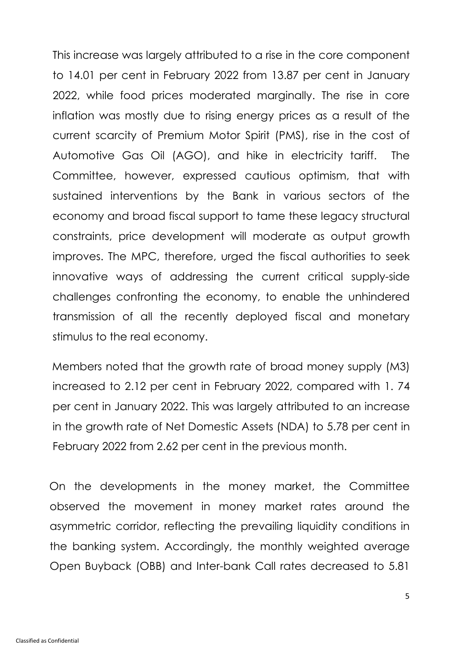This increase was largely attributed to a rise in the core component to 14.01 per cent in February 2022 from 13.87 per cent in January 2022, while food prices moderated marginally. The rise in core inflation was mostly due to rising energy prices as a result of the current scarcity of Premium Motor Spirit (PMS), rise in the cost of Automotive Gas Oil (AGO), and hike in electricity tariff. The Committee, however, expressed cautious optimism, that with sustained interventions by the Bank in various sectors of the economy and broad fiscal support to tame these legacy structural constraints, price development will moderate as output growth improves. The MPC, therefore, urged the fiscal authorities to seek innovative ways of addressing the current critical supply-side challenges confronting the economy, to enable the unhindered transmission of all the recently deployed fiscal and monetary stimulus to the real economy.

Members noted that the growth rate of broad money supply (M3) increased to 2.12 per cent in February 2022, compared with 1. 74 per cent in January 2022. This was largely attributed to an increase in the growth rate of Net Domestic Assets (NDA) to 5.78 per cent in February 2022 from 2.62 per cent in the previous month.

On the developments in the money market, the Committee observed the movement in money market rates around the asymmetric corridor, reflecting the prevailing liquidity conditions in the banking system. Accordingly, the monthly weighted average Open Buyback (OBB) and Inter-bank Call rates decreased to 5.81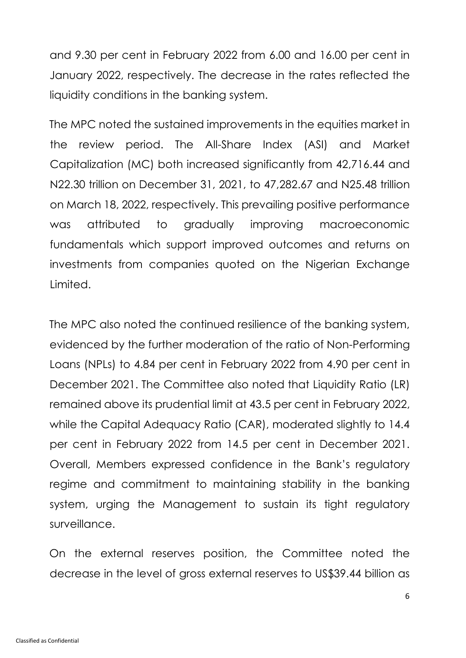and 9.30 per cent in February 2022 from 6.00 and 16.00 per cent in January 2022, respectively. The decrease in the rates reflected the liquidity conditions in the banking system.

The MPC noted the sustained improvements in the equities market in the review period. The All-Share Index (ASI) and Market Capitalization (MC) both increased significantly from 42,716.44 and N22.30 trillion on December 31, 2021, to 47,282.67 and N25.48 trillion on March 18, 2022, respectively. This prevailing positive performance was attributed to gradually improving macroeconomic fundamentals which support improved outcomes and returns on investments from companies quoted on the Nigerian Exchange Limited.

The MPC also noted the continued resilience of the banking system, evidenced by the further moderation of the ratio of Non-Performing Loans (NPLs) to 4.84 per cent in February 2022 from 4.90 per cent in December 2021. The Committee also noted that Liquidity Ratio (LR) remained above its prudential limit at 43.5 per cent in February 2022, while the Capital Adequacy Ratio (CAR), moderated slightly to 14.4 per cent in February 2022 from 14.5 per cent in December 2021. Overall, Members expressed confidence in the Bank's regulatory regime and commitment to maintaining stability in the banking system, urging the Management to sustain its tight regulatory surveillance.

On the external reserves position, the Committee noted the decrease in the level of gross external reserves to US\$39.44 billion as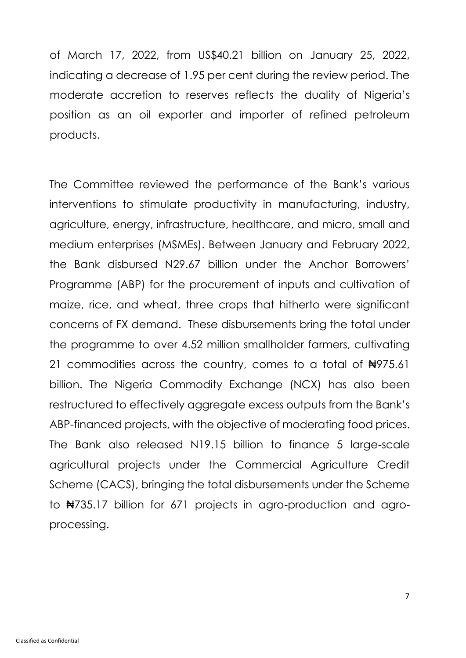of March 17, 2022, from US\$40.21 billion on January 25, 2022, indicating a decrease of 1.95 per cent during the review period. The moderate accretion to reserves reflects the duality of Nigeria's position as an oil exporter and importer of refined petroleum products.

The Committee reviewed the performance of the Bank's various interventions to stimulate productivity in manufacturing, industry, agriculture, energy, infrastructure, healthcare, and micro, small and medium enterprises (MSMEs). Between January and February 2022, the Bank disbursed N29.67 billion under the Anchor Borrowers' Programme (ABP) for the procurement of inputs and cultivation of maize, rice, and wheat, three crops that hitherto were significant concerns of FX demand. These disbursements bring the total under the programme to over 4.52 million smallholder farmers, cultivating 21 commodities across the country, comes to a total of #975.61 billion. The Nigeria Commodity Exchange (NCX) has also been restructured to effectively aggregate excess outputs from the Bank's ABP-financed projects, with the objective of moderating food prices. The Bank also released N19.15 billion to finance 5 large-scale agricultural projects under the Commercial Agriculture Credit Scheme (CACS), bringing the total disbursements under the Scheme to ₦735.17 billion for 671 projects in agro-production and agroprocessing.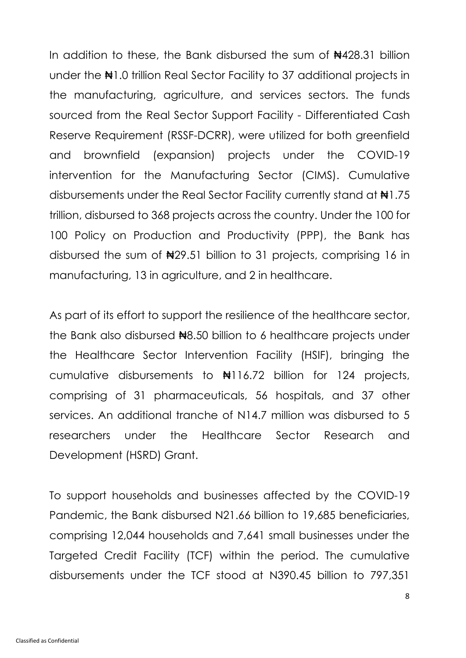In addition to these, the Bank disbursed the sum of  $\frac{1}{2}4428.31$  billion under the  $\pm 1.0$  trillion Real Sector Facility to 37 additional projects in the manufacturing, agriculture, and services sectors. The funds sourced from the Real Sector Support Facility - Differentiated Cash Reserve Requirement (RSSF-DCRR), were utilized for both greenfield and brownfield (expansion) projects under the COVID-19 intervention for the Manufacturing Sector (CIMS). Cumulative disbursements under the Real Sector Facility currently stand at ₦1.75 trillion, disbursed to 368 projects across the country. Under the 100 for 100 Policy on Production and Productivity (PPP), the Bank has disbursed the sum of  $\frac{129.51}{1000}$  billion to 31 projects, comprising 16 in manufacturing, 13 in agriculture, and 2 in healthcare.

As part of its effort to support the resilience of the healthcare sector, the Bank also disbursed N8.50 billion to 6 healthcare projects under the Healthcare Sector Intervention Facility (HSIF), bringing the cumulative disbursements to ₦116.72 billion for 124 projects, comprising of 31 pharmaceuticals, 56 hospitals, and 37 other services. An additional tranche of N14.7 million was disbursed to 5 researchers under the Healthcare Sector Research and Development (HSRD) Grant.

To support households and businesses affected by the COVID-19 Pandemic, the Bank disbursed N21.66 billion to 19,685 beneficiaries, comprising 12,044 households and 7,641 small businesses under the Targeted Credit Facility (TCF) within the period. The cumulative disbursements under the TCF stood at N390.45 billion to 797,351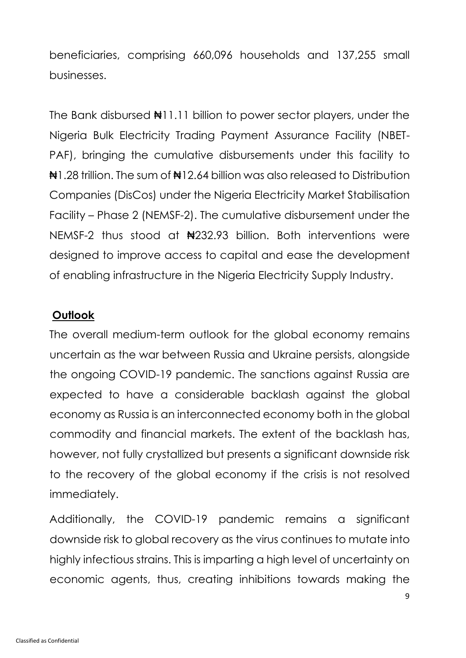beneficiaries, comprising 660,096 households and 137,255 small businesses.

The Bank disbursed  $\frac{11.11}{1.11}$  billion to power sector players, under the Nigeria Bulk Electricity Trading Payment Assurance Facility (NBET-PAF), bringing the cumulative disbursements under this facility to ₦1.28 trillion. The sum of ₦12.64 billion was also released to Distribution Companies (DisCos) under the Nigeria Electricity Market Stabilisation Facility – Phase 2 (NEMSF-2). The cumulative disbursement under the NEMSF-2 thus stood at N232.93 billion. Both interventions were designed to improve access to capital and ease the development of enabling infrastructure in the Nigeria Electricity Supply Industry.

#### **Outlook**

The overall medium-term outlook for the global economy remains uncertain as the war between Russia and Ukraine persists, alongside the ongoing COVID-19 pandemic. The sanctions against Russia are expected to have a considerable backlash against the global economy as Russia is an interconnected economy both in the global commodity and financial markets. The extent of the backlash has, however, not fully crystallized but presents a significant downside risk to the recovery of the global economy if the crisis is not resolved immediately.

Additionally, the COVID-19 pandemic remains a significant downside risk to global recovery as the virus continues to mutate into highly infectious strains. This is imparting a high level of uncertainty on economic agents, thus, creating inhibitions towards making the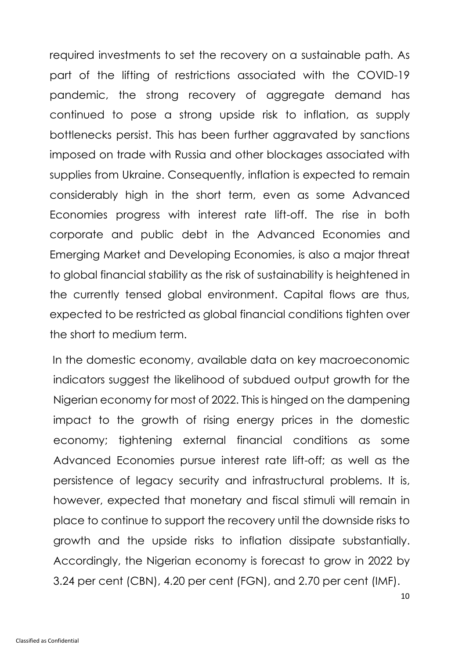required investments to set the recovery on a sustainable path. As part of the lifting of restrictions associated with the COVID-19 pandemic, the strong recovery of aggregate demand has continued to pose a strong upside risk to inflation, as supply bottlenecks persist. This has been further aggravated by sanctions imposed on trade with Russia and other blockages associated with supplies from Ukraine. Consequently, inflation is expected to remain considerably high in the short term, even as some Advanced Economies progress with interest rate lift-off. The rise in both corporate and public debt in the Advanced Economies and Emerging Market and Developing Economies, is also a major threat to global financial stability as the risk of sustainability is heightened in the currently tensed global environment. Capital flows are thus, expected to be restricted as global financial conditions tighten over the short to medium term.

In the domestic economy, available data on key macroeconomic indicators suggest the likelihood of subdued output growth for the Nigerian economy for most of 2022. This is hinged on the dampening impact to the growth of rising energy prices in the domestic economy; tightening external financial conditions as some Advanced Economies pursue interest rate lift-off; as well as the persistence of legacy security and infrastructural problems. It is, however, expected that monetary and fiscal stimuli will remain in place to continue to support the recovery until the downside risks to growth and the upside risks to inflation dissipate substantially. Accordingly, the Nigerian economy is forecast to grow in 2022 by 3.24 per cent (CBN), 4.20 per cent (FGN), and 2.70 per cent (IMF).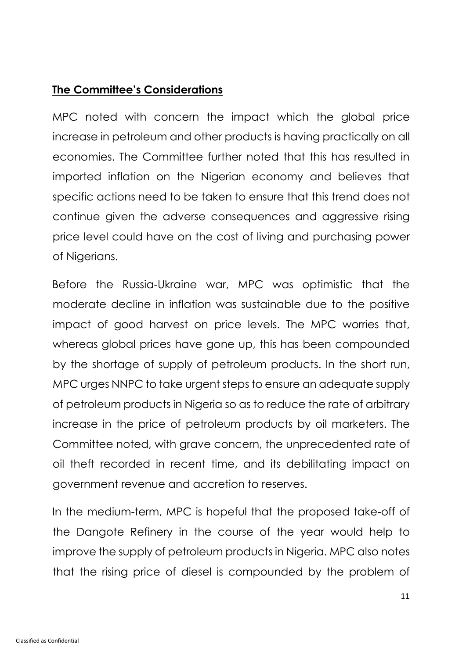## **The Committee's Considerations**

MPC noted with concern the impact which the global price increase in petroleum and other products is having practically on all economies. The Committee further noted that this has resulted in imported inflation on the Nigerian economy and believes that specific actions need to be taken to ensure that this trend does not continue given the adverse consequences and aggressive rising price level could have on the cost of living and purchasing power of Nigerians.

Before the Russia-Ukraine war, MPC was optimistic that the moderate decline in inflation was sustainable due to the positive impact of good harvest on price levels. The MPC worries that, whereas global prices have gone up, this has been compounded by the shortage of supply of petroleum products. In the short run, MPC urges NNPC to take urgent steps to ensure an adequate supply of petroleum products in Nigeria so as to reduce the rate of arbitrary increase in the price of petroleum products by oil marketers. The Committee noted, with grave concern, the unprecedented rate of oil theft recorded in recent time, and its debilitating impact on government revenue and accretion to reserves.

In the medium-term, MPC is hopeful that the proposed take-off of the Dangote Refinery in the course of the year would help to improve the supply of petroleum products in Nigeria. MPC also notes that the rising price of diesel is compounded by the problem of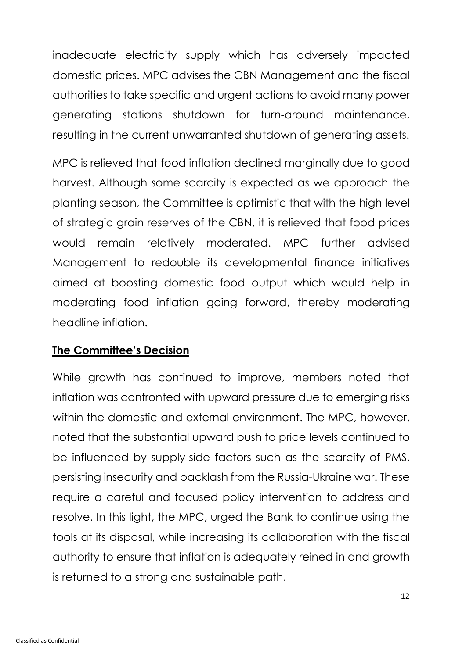inadequate electricity supply which has adversely impacted domestic prices. MPC advises the CBN Management and the fiscal authorities to take specific and urgent actions to avoid many power generating stations shutdown for turn-around maintenance, resulting in the current unwarranted shutdown of generating assets.

MPC is relieved that food inflation declined marginally due to good harvest. Although some scarcity is expected as we approach the planting season, the Committee is optimistic that with the high level of strategic grain reserves of the CBN, it is relieved that food prices would remain relatively moderated. MPC further advised Management to redouble its developmental finance initiatives aimed at boosting domestic food output which would help in moderating food inflation going forward, thereby moderating headline inflation.

#### **The Committee's Decision**

While growth has continued to improve, members noted that inflation was confronted with upward pressure due to emerging risks within the domestic and external environment. The MPC, however, noted that the substantial upward push to price levels continued to be influenced by supply-side factors such as the scarcity of PMS, persisting insecurity and backlash from the Russia-Ukraine war. These require a careful and focused policy intervention to address and resolve. In this light, the MPC, urged the Bank to continue using the tools at its disposal, while increasing its collaboration with the fiscal authority to ensure that inflation is adequately reined in and growth is returned to a strong and sustainable path.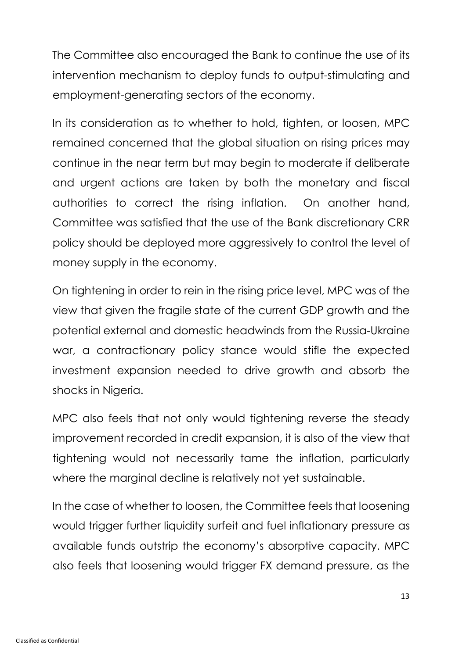The Committee also encouraged the Bank to continue the use of its intervention mechanism to deploy funds to output-stimulating and employment-generating sectors of the economy.

In its consideration as to whether to hold, tighten, or loosen, MPC remained concerned that the global situation on rising prices may continue in the near term but may begin to moderate if deliberate and urgent actions are taken by both the monetary and fiscal authorities to correct the rising inflation. On another hand, Committee was satisfied that the use of the Bank discretionary CRR policy should be deployed more aggressively to control the level of money supply in the economy.

On tightening in order to rein in the rising price level, MPC was of the view that given the fragile state of the current GDP growth and the potential external and domestic headwinds from the Russia-Ukraine war, a contractionary policy stance would stifle the expected investment expansion needed to drive growth and absorb the shocks in Nigeria.

MPC also feels that not only would tightening reverse the steady improvement recorded in credit expansion, it is also of the view that tightening would not necessarily tame the inflation, particularly where the marginal decline is relatively not yet sustainable.

In the case of whether to loosen, the Committee feels that loosening would trigger further liquidity surfeit and fuel inflationary pressure as available funds outstrip the economy's absorptive capacity. MPC also feels that loosening would trigger FX demand pressure, as the